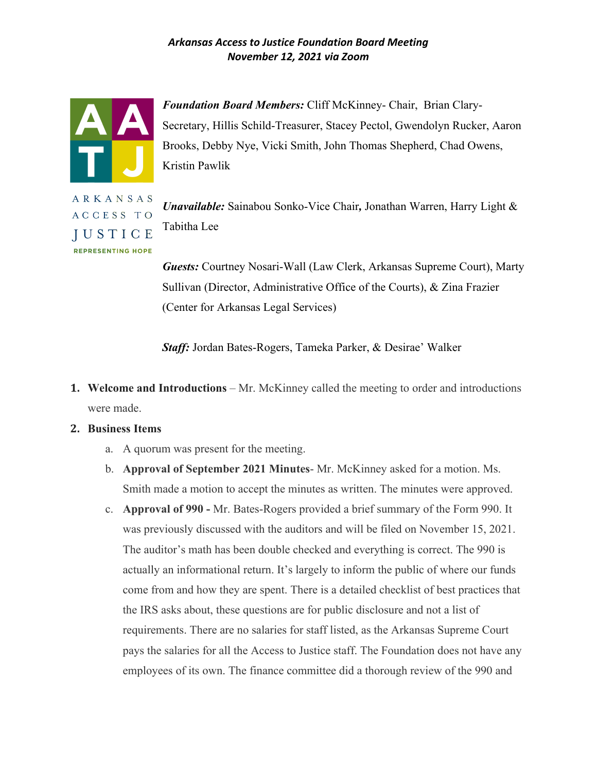

*Foundation Board Members:* Cliff McKinney- Chair, Brian Clary-Secretary, Hillis Schild-Treasurer, Stacey Pectol, Gwendolyn Rucker, Aaron Brooks, Debby Nye, Vicki Smith, John Thomas Shepherd, Chad Owens, Kristin Pawlik

ARKANSAS ACCESS TO **IUSTICE REPRESENTING HOPE** 

*Unavailable:* Sainabou Sonko-Vice Chair*,* Jonathan Warren, Harry Light & Tabitha Lee

*Guests:* Courtney Nosari-Wall (Law Clerk, Arkansas Supreme Court), Marty Sullivan (Director, Administrative Office of the Courts), & Zina Frazier (Center for Arkansas Legal Services)

*Staff:* Jordan Bates-Rogers, Tameka Parker, & Desirae' Walker

- **1. Welcome and Introductions** Mr. McKinney called the meeting to order and introductions were made.
- **2. Business Items**
	- a. A quorum was present for the meeting.
	- b. **Approval of September 2021 Minutes** Mr. McKinney asked for a motion. Ms. Smith made a motion to accept the minutes as written. The minutes were approved.
	- c. **Approval of 990 -** Mr. Bates-Rogers provided a brief summary of the Form 990. It was previously discussed with the auditors and will be filed on November 15, 2021. The auditor's math has been double checked and everything is correct. The 990 is actually an informational return. It's largely to inform the public of where our funds come from and how they are spent. There is a detailed checklist of best practices that the IRS asks about, these questions are for public disclosure and not a list of requirements. There are no salaries for staff listed, as the Arkansas Supreme Court pays the salaries for all the Access to Justice staff. The Foundation does not have any employees of its own. The finance committee did a thorough review of the 990 and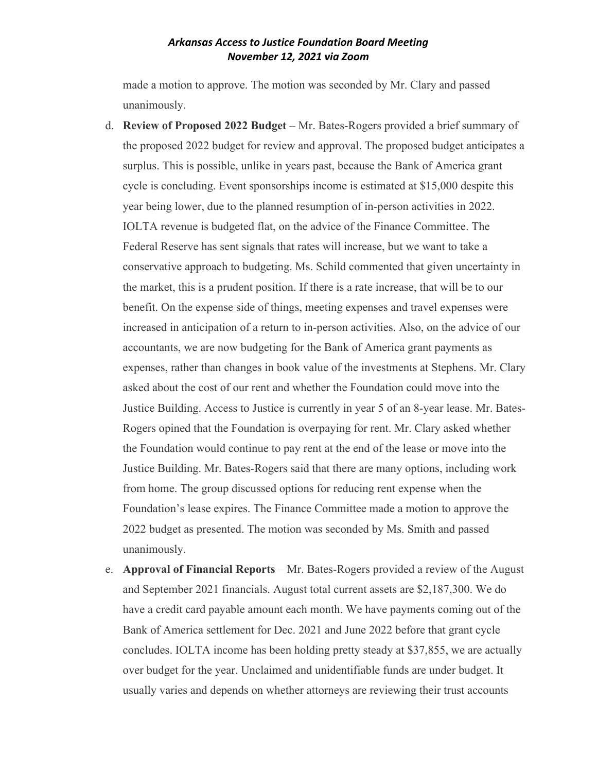made a motion to approve. The motion was seconded by Mr. Clary and passed unanimously.

- d. **Review of Proposed 2022 Budget** Mr. Bates-Rogers provided a brief summary of the proposed 2022 budget for review and approval. The proposed budget anticipates a surplus. This is possible, unlike in years past, because the Bank of America grant cycle is concluding. Event sponsorships income is estimated at \$15,000 despite this year being lower, due to the planned resumption of in-person activities in 2022. IOLTA revenue is budgeted flat, on the advice of the Finance Committee. The Federal Reserve has sent signals that rates will increase, but we want to take a conservative approach to budgeting. Ms. Schild commented that given uncertainty in the market, this is a prudent position. If there is a rate increase, that will be to our benefit. On the expense side of things, meeting expenses and travel expenses were increased in anticipation of a return to in-person activities. Also, on the advice of our accountants, we are now budgeting for the Bank of America grant payments as expenses, rather than changes in book value of the investments at Stephens. Mr. Clary asked about the cost of our rent and whether the Foundation could move into the Justice Building. Access to Justice is currently in year 5 of an 8-year lease. Mr. Bates-Rogers opined that the Foundation is overpaying for rent. Mr. Clary asked whether the Foundation would continue to pay rent at the end of the lease or move into the Justice Building. Mr. Bates-Rogers said that there are many options, including work from home. The group discussed options for reducing rent expense when the Foundation's lease expires. The Finance Committee made a motion to approve the 2022 budget as presented. The motion was seconded by Ms. Smith and passed unanimously.
- e. **Approval of Financial Reports** Mr. Bates-Rogers provided a review of the August and September 2021 financials. August total current assets are \$2,187,300. We do have a credit card payable amount each month. We have payments coming out of the Bank of America settlement for Dec. 2021 and June 2022 before that grant cycle concludes. IOLTA income has been holding pretty steady at \$37,855, we are actually over budget for the year. Unclaimed and unidentifiable funds are under budget. It usually varies and depends on whether attorneys are reviewing their trust accounts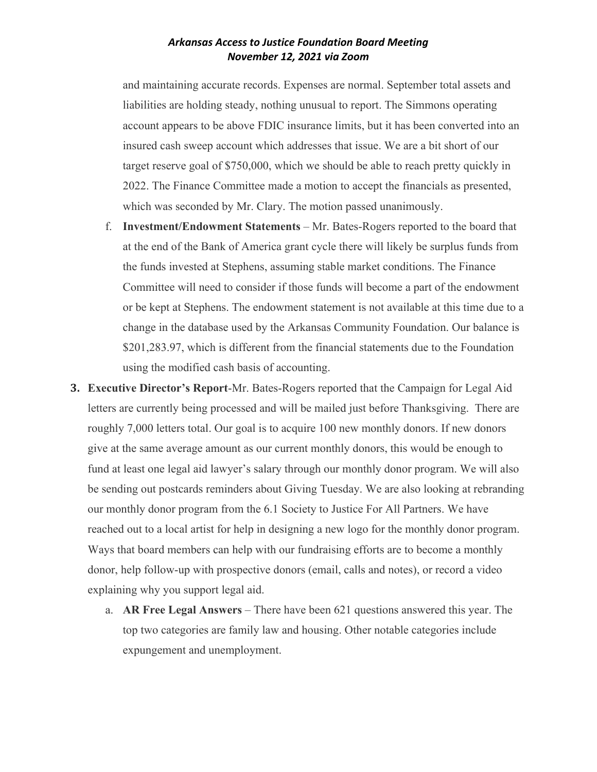and maintaining accurate records. Expenses are normal. September total assets and liabilities are holding steady, nothing unusual to report. The Simmons operating account appears to be above FDIC insurance limits, but it has been converted into an insured cash sweep account which addresses that issue. We are a bit short of our target reserve goal of \$750,000, which we should be able to reach pretty quickly in 2022. The Finance Committee made a motion to accept the financials as presented, which was seconded by Mr. Clary. The motion passed unanimously.

- f. **Investment/Endowment Statements** Mr. Bates-Rogers reported to the board that at the end of the Bank of America grant cycle there will likely be surplus funds from the funds invested at Stephens, assuming stable market conditions. The Finance Committee will need to consider if those funds will become a part of the endowment or be kept at Stephens. The endowment statement is not available at this time due to a change in the database used by the Arkansas Community Foundation. Our balance is \$201,283.97, which is different from the financial statements due to the Foundation using the modified cash basis of accounting.
- **3. Executive Director's Report**-Mr. Bates-Rogers reported that the Campaign for Legal Aid letters are currently being processed and will be mailed just before Thanksgiving. There are roughly 7,000 letters total. Our goal is to acquire 100 new monthly donors. If new donors give at the same average amount as our current monthly donors, this would be enough to fund at least one legal aid lawyer's salary through our monthly donor program. We will also be sending out postcards reminders about Giving Tuesday. We are also looking at rebranding our monthly donor program from the 6.1 Society to Justice For All Partners. We have reached out to a local artist for help in designing a new logo for the monthly donor program. Ways that board members can help with our fundraising efforts are to become a monthly donor, help follow-up with prospective donors (email, calls and notes), or record a video explaining why you support legal aid.
	- a. **AR Free Legal Answers** There have been 621 questions answered this year. The top two categories are family law and housing. Other notable categories include expungement and unemployment.